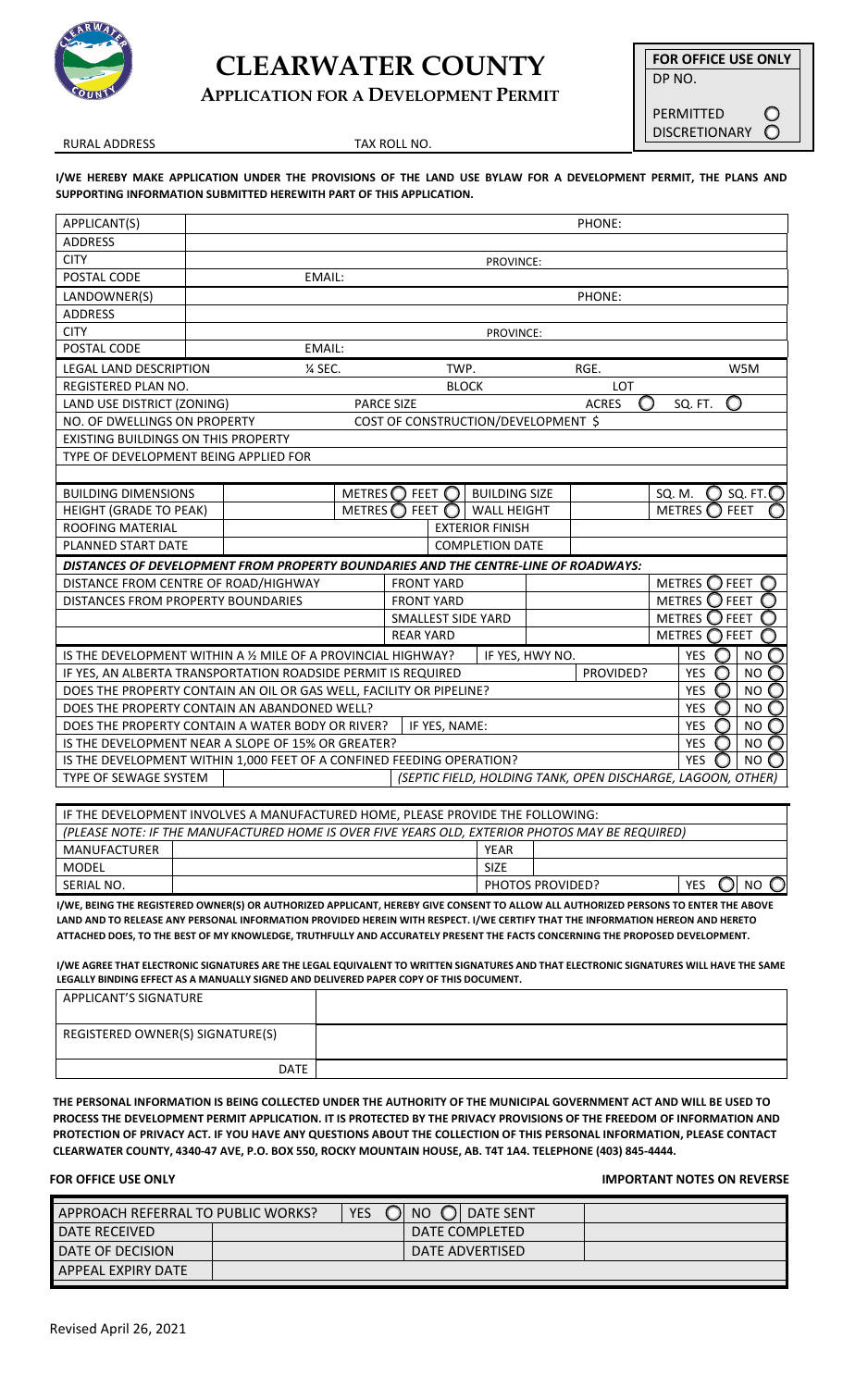

# **CLEARWATER COUNTY**

**APPLICATION FOR A DEVELOPMENT PERMIT**

**FOR OFFICE USE ONLY** DP NO.

> O  $\circ$

PERMITTED DISCRETIONARY

RURAL ADDRESS TAX ROLL NO.

**I/WE HEREBY MAKE APPLICATION UNDER THE PROVISIONS OF THE LAND USE BYLAW FOR A DEVELOPMENT PERMIT, THE PLANS AND SUPPORTING INFORMATION SUBMITTED HEREWITH PART OF THIS APPLICATION.**

| APPLICANT(S)                                                                                                     | PHONE:        |               |                        |                                                           |                           |                                     |                                  |        |                           |             |                    |     |
|------------------------------------------------------------------------------------------------------------------|---------------|---------------|------------------------|-----------------------------------------------------------|---------------------------|-------------------------------------|----------------------------------|--------|---------------------------|-------------|--------------------|-----|
| <b>ADDRESS</b>                                                                                                   |               |               |                        |                                                           |                           |                                     |                                  |        |                           |             |                    |     |
| <b>CITY</b>                                                                                                      | PROVINCE:     |               |                        |                                                           |                           |                                     |                                  |        |                           |             |                    |     |
| POSTAL CODE                                                                                                      |               | EMAIL:        |                        |                                                           |                           |                                     |                                  |        |                           |             |                    |     |
| LANDOWNER(S)                                                                                                     |               |               |                        |                                                           |                           |                                     |                                  | PHONE: |                           |             |                    |     |
| <b>ADDRESS</b>                                                                                                   |               |               |                        |                                                           |                           |                                     |                                  |        |                           |             |                    |     |
| <b>CITY</b>                                                                                                      | PROVINCE:     |               |                        |                                                           |                           |                                     |                                  |        |                           |             |                    |     |
| POSTAL CODE                                                                                                      |               | <b>EMAIL:</b> |                        |                                                           |                           |                                     |                                  |        |                           |             |                    |     |
| <b>LEGAL LAND DESCRIPTION</b>                                                                                    |               | % SEC.        |                        |                                                           | TWP.                      |                                     |                                  | RGE.   |                           |             |                    | W5M |
| <b>REGISTERED PLAN NO.</b>                                                                                       |               |               |                        |                                                           | <b>BLOCK</b>              |                                     |                                  | LOT    |                           |             |                    |     |
| LAND USE DISTRICT (ZONING)                                                                                       |               |               | <b>PARCE SIZE</b>      |                                                           |                           |                                     | <b>ACRES</b>                     | O      | SQ. FT.                   | O           |                    |     |
| NO. OF DWELLINGS ON PROPERTY                                                                                     |               |               |                        |                                                           |                           | COST OF CONSTRUCTION/DEVELOPMENT \$ |                                  |        |                           |             |                    |     |
| EXISTING BUILDINGS ON THIS PROPERTY                                                                              |               |               |                        |                                                           |                           |                                     |                                  |        |                           |             |                    |     |
| TYPE OF DEVELOPMENT BEING APPLIED FOR                                                                            |               |               |                        |                                                           |                           |                                     |                                  |        |                           |             |                    |     |
|                                                                                                                  |               |               |                        |                                                           |                           |                                     |                                  |        |                           |             |                    |     |
| <b>BUILDING DIMENSIONS</b>                                                                                       |               |               |                        | <b>BUILDING SIZE</b><br>METRES $\bigcirc$ feet $\bigcirc$ |                           |                                     |                                  |        | $\bigcirc$<br>SQ. M.      |             | SQ. FT. $\bigcirc$ |     |
| <b>HEIGHT (GRADE TO PEAK)</b>                                                                                    | <b>METRES</b> |               |                        | <b>FEET</b><br><b>WALL HEIGHT</b>                         |                           |                                     |                                  |        | <b>METRES</b>             | <b>FEET</b> |                    |     |
| ROOFING MATERIAL                                                                                                 |               |               |                        | <b>EXTERIOR FINISH</b>                                    |                           |                                     |                                  |        |                           |             |                    |     |
| PLANNED START DATE                                                                                               |               |               | <b>COMPLETION DATE</b> |                                                           |                           |                                     |                                  |        |                           |             |                    |     |
| DISTANCES OF DEVELOPMENT FROM PROPERTY BOUNDARIES AND THE CENTRE-LINE OF ROADWAYS:                               |               |               |                        |                                                           |                           |                                     |                                  |        |                           |             |                    |     |
| DISTANCE FROM CENTRE OF ROAD/HIGHWAY                                                                             |               |               |                        | <b>FRONT YARD</b>                                         |                           |                                     | METRES $\bigcirc$<br><b>FEET</b> |        |                           |             |                    |     |
| DISTANCES FROM PROPERTY BOUNDARIES                                                                               |               |               | <b>FRONT YARD</b>      |                                                           |                           |                                     | METRES $\bigcirc$ Feet           |        |                           |             |                    |     |
|                                                                                                                  |               |               |                        |                                                           | <b>SMALLEST SIDE YARD</b> |                                     |                                  |        | METRES $\bigcirc$<br>FEET |             |                    |     |
|                                                                                                                  |               |               | <b>REAR YARD</b>       |                                                           |                           |                                     | <b>METRES</b><br>FEET<br>∩       |        |                           |             |                    |     |
| IS THE DEVELOPMENT WITHIN A 1/2 MILE OF A PROVINCIAL HIGHWAY?<br>IF YES, HWY NO.<br>YES<br><b>NO</b>             |               |               |                        |                                                           |                           |                                     | $\bigcirc$                       |        |                           |             |                    |     |
| $\circ$<br>PROVIDED?<br><b>YES</b><br><b>NO</b><br>IF YES, AN ALBERTA TRANSPORTATION ROADSIDE PERMIT IS REQUIRED |               |               |                        |                                                           |                           |                                     | $\bigcap$                        |        |                           |             |                    |     |
| <b>YES</b><br>◯<br><b>NO</b><br>DOES THE PROPERTY CONTAIN AN OIL OR GAS WELL, FACILITY OR PIPELINE?              |               |               |                        |                                                           |                           |                                     |                                  |        |                           |             |                    |     |
| DOES THE PROPERTY CONTAIN AN ABANDONED WELL?<br><b>YES</b><br><b>NO</b><br>$\bigcirc$<br>0                       |               |               |                        |                                                           |                           |                                     |                                  |        |                           |             |                    |     |
| DOES THE PROPERTY CONTAIN A WATER BODY OR RIVER?<br><b>YES</b><br><b>NO</b><br>IF YES, NAME:<br>O                |               |               |                        |                                                           |                           | $\bigcap$                           |                                  |        |                           |             |                    |     |
| IS THE DEVELOPMENT NEAR A SLOPE OF 15% OR GREATER?<br><b>YES</b><br>◯                                            |               |               |                        |                                                           |                           |                                     | NO <sub>O</sub>                  |        |                           |             |                    |     |
| <b>YES</b><br>NO <sub>C</sub><br>IS THE DEVELOPMENT WITHIN 1,000 FEET OF A CONFINED FEEDING OPERATION?           |               |               |                        |                                                           |                           |                                     |                                  |        |                           |             |                    |     |
| TYPE OF SEWAGE SYSTEM<br>(SEPTIC FIELD, HOLDING TANK, OPEN DISCHARGE, LAGOON, OTHER)                             |               |               |                        |                                                           |                           |                                     |                                  |        |                           |             |                    |     |
|                                                                                                                  |               |               |                        |                                                           |                           |                                     |                                  |        |                           |             |                    |     |

| IF THE DEVELOPMENT INVOLVES A MANUFACTURED HOME, PLEASE PROVIDE THE FOLLOWING:                  |  |                                |  |           |  |  |  |
|-------------------------------------------------------------------------------------------------|--|--------------------------------|--|-----------|--|--|--|
| (PLEASE NOTE: IF THE MANUFACTURED HOME IS OVER FIVE YEARS OLD, EXTERIOR PHOTOS MAY BE REQUIRED) |  |                                |  |           |  |  |  |
| MANUFACTURER                                                                                    |  | YEAR                           |  |           |  |  |  |
| <b>MODEL</b>                                                                                    |  | <b>SIZE</b>                    |  |           |  |  |  |
| SERIAL NO.                                                                                      |  | <b>YES</b><br>PHOTOS PROVIDED? |  | <b>NO</b> |  |  |  |

**I/WE, BEING THE REGISTERED OWNER(S) OR AUTHORIZED APPLICANT, HEREBY GIVE CONSENT TO ALLOW ALL AUTHORIZED PERSONS TO ENTER THE ABOVE LAND AND TO RELEASE ANY PERSONAL INFORMATION PROVIDED HEREIN WITH RESPECT. I/WE CERTIFY THAT THE INFORMATION HEREON AND HERETO ATTACHED DOES, TO THE BEST OF MY KNOWLEDGE, TRUTHFULLY AND ACCURATELY PRESENT THE FACTS CONCERNING THE PROPOSED DEVELOPMENT.**

**I/WE AGREE THAT ELECTRONIC SIGNATURES ARE THE LEGAL EQUIVALENT TO WRITTEN SIGNATURES AND THAT ELECTRONIC SIGNATURES WILL HAVE THE SAME LEGALLY BINDING EFFECT AS A MANUALLY SIGNED AND DELIVERED PAPER COPY OF THIS DOCUMENT.** 

| APPLICANT'S SIGNATURE            |  |
|----------------------------------|--|
| REGISTERED OWNER(S) SIGNATURE(S) |  |
| DATE                             |  |

**THE PERSONAL INFORMATION IS BEING COLLECTED UNDER THE AUTHORITY OF THE MUNICIPAL GOVERNMENT ACT AND WILL BE USED TO PROCESS THE DEVELOPMENT PERMIT APPLICATION. IT IS PROTECTED BY THE PRIVACY PROVISIONS OF THE FREEDOM OF INFORMATION AND PROTECTION OF PRIVACY ACT. IF YOU HAVE ANY QUESTIONS ABOUT THE COLLECTION OF THIS PERSONAL INFORMATION, PLEASE CONTACT CLEARWATER COUNTY, 4340-47 AVE, P.O. BOX 550, ROCKY MOUNTAIN HOUSE, AB. T4T 1A4. TELEPHONE (403) 845-4444.** 

#### **FOR OFFICE USE ONLY IMPORTANT NOTES ON REVERSE**

| YES O NO O DATE SENT<br>APPROACH REFERRAL TO PUBLIC WORKS? |  |                 |  |  |  |  |
|------------------------------------------------------------|--|-----------------|--|--|--|--|
| <b>DATE RECEIVED</b>                                       |  | DATE COMPLETED  |  |  |  |  |
| <b>I DATE OF DECISION</b>                                  |  | DATE ADVERTISED |  |  |  |  |
| LAPPEAL EXPIRY DATE                                        |  |                 |  |  |  |  |